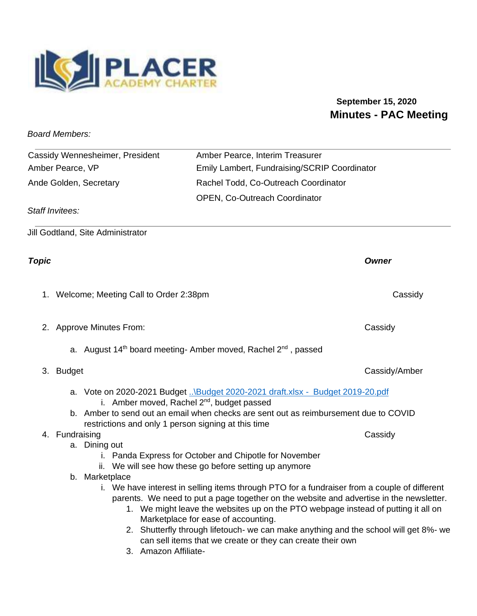

## **September 15, 2020 Minutes - PAC Meeting**

*Board Members:* 

| Cassidy Wennesheimer, President                                  | Amber Pearce, Interim Treasurer                                                                                                             |               |
|------------------------------------------------------------------|---------------------------------------------------------------------------------------------------------------------------------------------|---------------|
| Amber Pearce, VP<br>Emily Lambert, Fundraising/SCRIP Coordinator |                                                                                                                                             |               |
| Ande Golden, Secretary                                           | Rachel Todd, Co-Outreach Coordinator                                                                                                        |               |
|                                                                  |                                                                                                                                             |               |
| <b>Staff Invitees:</b>                                           | OPEN, Co-Outreach Coordinator                                                                                                               |               |
|                                                                  |                                                                                                                                             |               |
| Jill Godtland, Site Administrator                                |                                                                                                                                             |               |
| <b>Topic</b>                                                     |                                                                                                                                             | <b>Owner</b>  |
| 1. Welcome; Meeting Call to Order 2:38pm                         |                                                                                                                                             | Cassidy       |
| 2. Approve Minutes From:                                         |                                                                                                                                             | Cassidy       |
|                                                                  | a. August 14 <sup>th</sup> board meeting- Amber moved, Rachel 2 <sup>nd</sup> , passed                                                      |               |
| 3. Budget                                                        |                                                                                                                                             | Cassidy/Amber |
|                                                                  | a. Vote on 2020-2021 Budget \Budget 2020-2021 draft.xlsx - Budget 2019-20.pdf<br>i. Amber moved, Rachel 2 <sup>nd</sup> , budget passed     |               |
|                                                                  | b. Amber to send out an email when checks are sent out as reimbursement due to COVID<br>restrictions and only 1 person signing at this time |               |
| 4. Fundraising                                                   |                                                                                                                                             | Cassidy       |
| a. Dining out                                                    |                                                                                                                                             |               |
|                                                                  | i. Panda Express for October and Chipotle for November                                                                                      |               |
|                                                                  | ii. We will see how these go before setting up anymore                                                                                      |               |
| b. Marketplace                                                   | i. We have interest in selling items through PTO for a fundraiser from a couple of different                                                |               |
|                                                                  | parents. We need to put a page together on the website and advertise in the newsletter.                                                     |               |
|                                                                  | 1. We might leave the websites up on the PTO webpage instead of putting it all on                                                           |               |
|                                                                  | Marketplace for ease of accounting.                                                                                                         |               |
|                                                                  | 2. Shutterfly through lifetouch- we can make anything and the school will get 8%- we                                                        |               |
|                                                                  | can sell items that we create or they can create their own                                                                                  |               |

3. Amazon Affiliate-